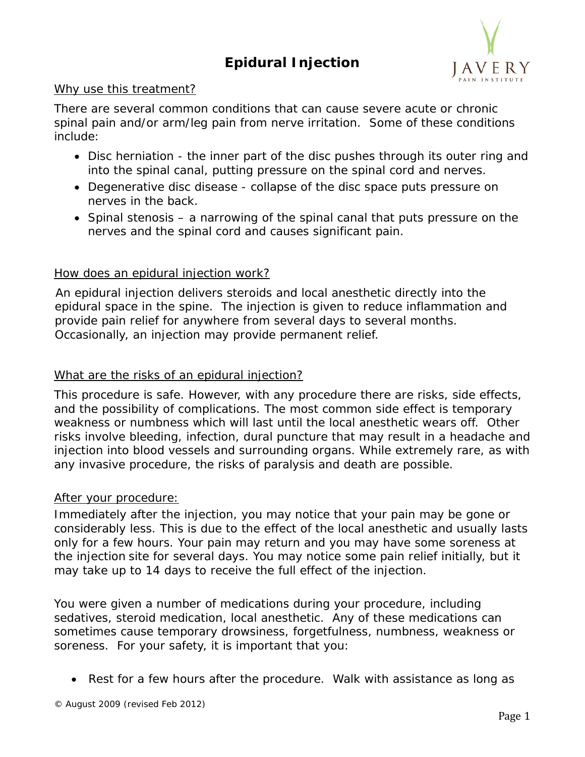# **Epidural Injection**



### Why use this treatment?

There are several common conditions that can cause severe acute or chronic spinal pain and/or arm/leg pain from nerve irritation. Some of these conditions include:

- Disc herniation the inner part of the disc pushes through its outer ring and into the spinal canal, putting pressure on the spinal cord and nerves.
- Degenerative disc disease collapse of the disc space puts pressure on nerves in the back.
- Spinal stenosis a narrowing of the spinal canal that puts pressure on the nerves and the spinal cord and causes significant pain.

### How does an epidural injection work?

An epidural injection delivers steroids and local anesthetic directly into the epidural space in the spine. The injection is given to reduce inflammation and provide pain relief for anywhere from several days to several months. Occasionally, an injection may provide permanent relief.

## What are the risks of an epidural injection?

This procedure is safe. However, with any procedure there are risks, side effects, and the possibility of complications. The most common side effect is temporary weakness or numbness which will last until the local anesthetic wears off. Other risks involve bleeding, infection, dural puncture that may result in a headache and injection into blood vessels and surrounding organs. While extremely rare, as with any invasive procedure, the risks of paralysis and death are possible.

#### After your procedure:

Immediately after the injection, you may notice that your pain may be gone or considerably less. This is due to the effect of the local anesthetic and usually lasts only for a few hours. Your pain may return and you may have some soreness at the injection site for several days. You may notice some pain relief initially, but it may take up to 14 days to receive the full effect of the injection.

You were given a number of medications during your procedure, including sedatives, steroid medication, local anesthetic. Any of these medications can sometimes cause temporary drowsiness, forgetfulness, numbness, weakness or soreness. For your safety, it is important that you:

• Rest for a few hours after the procedure. Walk with assistance as long as